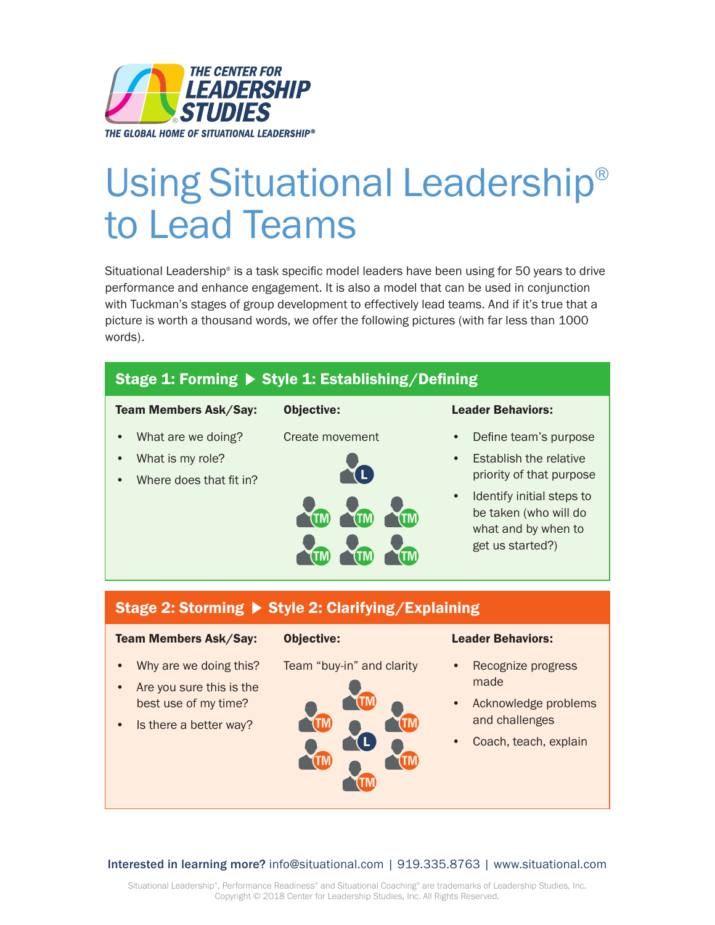

# Using Situational Leadership® to Lead Teams

Situational Leadership® is a task specific model leaders have been using for 50 years to drive performance and enhance engagement. It is also a model that can be used in conjunction with Tuckman's stages of group development to effectively lead teams. And if it's true that a picture is worth a thousand words, we offer the following pictures (with far less than 1000 words).

#### Stage 1: Forming  $\triangleright$  Style 1: Establishing/Defining Team Members Ask/Say: Objective: Leader Behaviors: • What are we doing? Create movement • Define team's purpose What is my role? **Establish the relative** O priority of that purpose Where does that fit in? • Identify initial steps to be taken (who will do what and by when to get us started?) Stage 2: Storming > Style 2: Clarifying/Explaining Team Members Ask/Say: Objective: Leader Behaviors: • Why are we doing this? Team "buy-in" and clarity Recognize progress made • Are you sure this is the best use of my time? • Acknowledge problems and challenges **Is there a better way?** Coach, teach, explain

#### Interested in learning more? info@situational.com | 919.335.8763 | www.situational.com